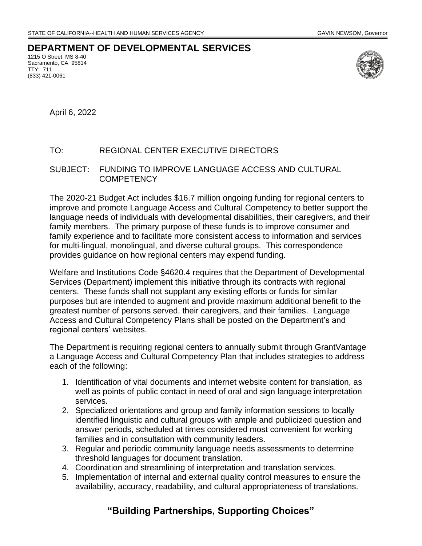## **DEPARTMENT OF DEVELOPMENTAL SERVICES**

1215 O Street, MS 8-40 Sacramento, CA 95814 TTY: 711 (833) 421-0061



April 6, 2022

## TO: REGIONAL CENTER EXECUTIVE DIRECTORS

## SUBJECT: FUNDING TO IMPROVE LANGUAGE ACCESS AND CULTURAL **COMPETENCY**

The 2020-21 Budget Act includes \$16.7 million ongoing funding for regional centers to improve and promote Language Access and Cultural Competency to better support the language needs of individuals with developmental disabilities, their caregivers, and their family members. The primary purpose of these funds is to improve consumer and family experience and to facilitate more consistent access to information and services for multi-lingual, monolingual, and diverse cultural groups. This correspondence provides guidance on how regional centers may expend funding.

Welfare and Institutions Code §4620.4 requires that the Department of Developmental Services (Department) implement this initiative through its contracts with regional centers. These funds shall not supplant any existing efforts or funds for similar purposes but are intended to augment and provide maximum additional benefit to the greatest number of persons served, their caregivers, and their families. Language Access and Cultural Competency Plans shall be posted on the Department's and regional centers' websites.

The Department is requiring regional centers to annually submit through GrantVantage a Language Access and Cultural Competency Plan that includes strategies to address each of the following:

- 1. Identification of vital documents and internet website content for translation, as well as points of public contact in need of oral and sign language interpretation services.
- 2. Specialized orientations and group and family information sessions to locally identified linguistic and cultural groups with ample and publicized question and answer periods, scheduled at times considered most convenient for working families and in consultation with community leaders.
- 3. Regular and periodic community language needs assessments to determine threshold languages for document translation.
- 4. Coordination and streamlining of interpretation and translation services.
- 5. Implementation of internal and external quality control measures to ensure the availability, accuracy, readability, and cultural appropriateness of translations.

## **"Building Partnerships, Supporting Choices"**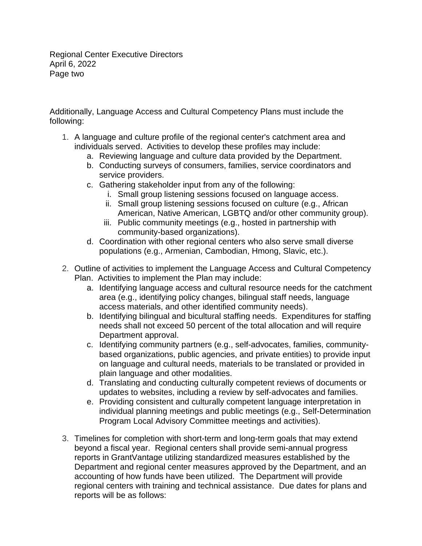Regional Center Executive Directors April 6, 2022 Page two

Additionally, Language Access and Cultural Competency Plans must include the following:

- 1. A language and culture profile of the regional center's catchment area and individuals served. Activities to develop these profiles may include:
	- a. Reviewing language and culture data provided by the Department.
	- b. Conducting surveys of consumers, families, service coordinators and service providers.
	- c. Gathering stakeholder input from any of the following:
		- i. Small group listening sessions focused on language access.
		- ii. Small group listening sessions focused on culture (e.g., African American, Native American, LGBTQ and/or other community group).
		- iii. Public community meetings (e.g., hosted in partnership with community-based organizations).
	- d. Coordination with other regional centers who also serve small diverse populations (e.g., Armenian, Cambodian, Hmong, Slavic, etc.).
- 2. Outline of activities to implement the Language Access and Cultural Competency Plan. Activities to implement the Plan may include:
	- a. Identifying language access and cultural resource needs for the catchment area (e.g., identifying policy changes, bilingual staff needs, language access materials, and other identified community needs).
	- b. Identifying bilingual and bicultural staffing needs. Expenditures for staffing needs shall not exceed 50 percent of the total allocation and will require Department approval.
	- c. Identifying community partners (e.g., self-advocates, families, communitybased organizations, public agencies, and private entities) to provide input on language and cultural needs, materials to be translated or provided in plain language and other modalities.
	- d. Translating and conducting culturally competent reviews of documents or updates to websites, including a review by self-advocates and families.
	- e. Providing consistent and culturally competent language interpretation in individual planning meetings and public meetings (e.g., Self-Determination Program Local Advisory Committee meetings and activities).
- 3. Timelines for completion with short-term and long-term goals that may extend beyond a fiscal year. Regional centers shall provide semi-annual progress reports in GrantVantage utilizing standardized measures established by the Department and regional center measures approved by the Department, and an accounting of how funds have been utilized. The Department will provide regional centers with training and technical assistance. Due dates for plans and reports will be as follows: